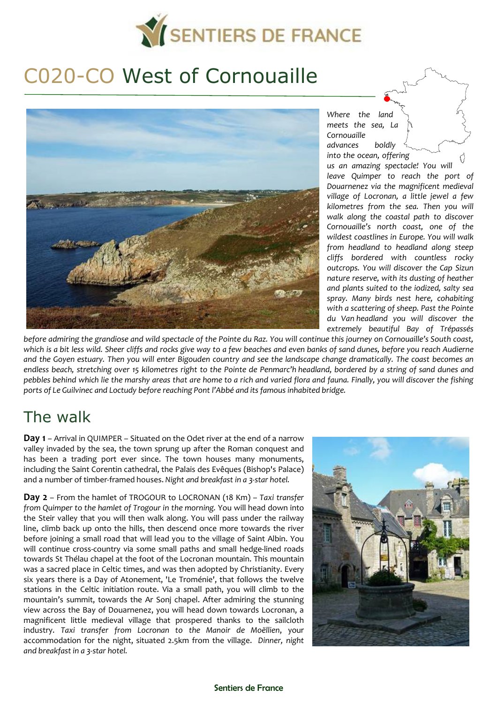

# C020-CO West of Cornouaille



*Where the land meets the sea, La Cornouaille advances boldly into the ocean, offering us an amazing spectacle! You will leave Quimper to reach the port of Douarnenez via the magnificent medieval village of Locronan, a little jewel a few kilometres from the sea. Then you will walk along the coastal path to discover Cornouaille's north coast, one of the wildest coastlines in Europe. You will walk from headland to headland along steep cliffs bordered with countless rocky outcrops. You will discover the Cap Sizun nature reserve, with its dusting of heather and plants suited to the iodized, salty sea spray. Many birds nest here, cohabiting with a scattering of sheep. Past the Pointe du Van headland you will discover the extremely beautiful Bay of Trépassés* 

*before admiring the grandiose and wild spectacle of the Pointe du Raz. You will continue this journey on Cornouaille's South coast, which is a bit less wild. Sheer cliffs and rocks give way to a few beaches and even banks of sand dunes, before you reach Audierne and the Goyen estuary. Then you will enter Bigouden country and see the landscape change dramatically. The coast becomes an endless beach, stretching over 15 kilometres right to the Pointe de Penmarc'h headland, bordered by a string of sand dunes and pebbles behind which lie the marshy areas that are home to a rich and varied flora and fauna. Finally, you will discover the fishing ports of Le Guilvinec and Loctudy before reaching Pont l'Abbé and its famous inhabited bridge.* 

## The walk

**Day 1** – Arrival in QUIMPER – Situated on the Odet river at the end of a narrow valley invaded by the sea, the town sprung up after the Roman conquest and has been a trading port ever since. The town houses many monuments, including the Saint Corentin cathedral, the Palais des Evêques (Bishop's Palace) and a number of timber-framed houses. *Night and breakfast in a 3-star hotel.* 

**Day 2** – From the hamlet of TROGOUR to LOCRONAN (18 Km) – *Taxi transfer from Quimper to the hamlet of Trogour in the morning.* You will head down into the Steir valley that you will then walk along. You will pass under the railway line, climb back up onto the hills, then descend once more towards the river before joining a small road that will lead you to the village of Saint Albin. You will continue cross-country via some small paths and small hedge-lined roads towards St Thélau chapel at the foot of the Locronan mountain. This mountain was a sacred place in Celtic times, and was then adopted by Christianity. Every six years there is a Day of Atonement, 'Le Troménie', that follows the twelve stations in the Celtic initiation route. Via a small path, you will climb to the mountain's summit, towards the Ar Sonj chapel. After admiring the stunning view across the Bay of Douarnenez, you will head down towards Locronan, a magnificent little medieval village that prospered thanks to the sailcloth industry. *Taxi transfer from Locronan to the Manoir de Moëllien*, your accommodation for the night, situated 2.5km from the village. *Dinner, night and breakfast in a 3-star hotel.* 

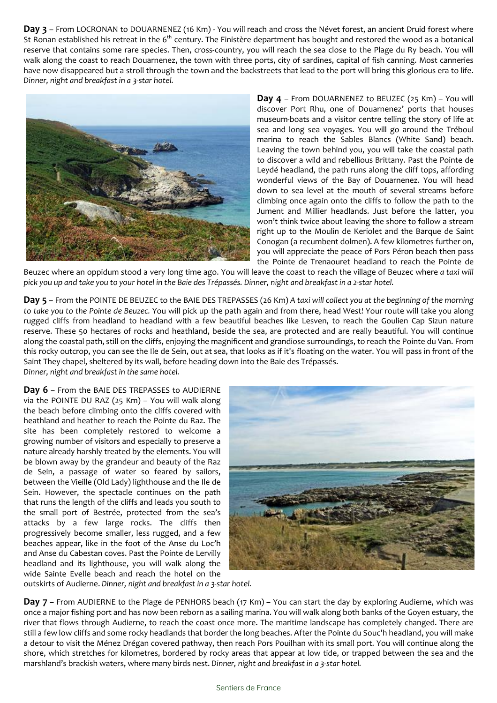**Day 3** – From LOCRONAN to DOUARNENEZ (16 Km) - You will reach and cross the Névet forest, an ancient Druid forest where St Ronan established his retreat in the 6<sup>th</sup> century. The Finistère department has bought and restored the wood as a botanical reserve that contains some rare species. Then, cross-country, you will reach the sea close to the Plage du Ry beach. You will walk along the coast to reach Douarnenez, the town with three ports, city of sardines, capital of fish canning. Most canneries have now disappeared but a stroll through the town and the backstreets that lead to the port will bring this glorious era to life. *Dinner, night and breakfast in a 3-star hotel.* 



**Day 4** – From DOUARNENEZ to BEUZEC (25 Km) – You will discover Port Rhu, one of Douarnenez' ports that houses museum-boats and a visitor centre telling the story of life at sea and long sea voyages. You will go around the Tréboul marina to reach the Sables Blancs (White Sand) beach. Leaving the town behind you, you will take the coastal path to discover a wild and rebellious Brittany. Past the Pointe de Leydé headland, the path runs along the cliff tops, affording wonderful views of the Bay of Douarnenez. You will head down to sea level at the mouth of several streams before climbing once again onto the cliffs to follow the path to the Jument and Millier headlands. Just before the latter, you won't think twice about leaving the shore to follow a stream right up to the Moulin de Keriolet and the Barque de Saint Conogan (a recumbent dolmen). A few kilometres further on, you will appreciate the peace of Pors Péron beach then pass the Pointe de Trenaouret headland to reach the Pointe de

Beuzec where an oppidum stood a very long time ago. You will leave the coast to reach the village of Beuzec where *a taxi will pick you up and take you to your hotel in the Baie des Trépassés. Dinner, night and breakfast in a 2-star hotel.* 

**Day 5** – From the POINTE DE BEUZEC to the BAIE DES TREPASSES (26 Km) *A taxi will collect you at the beginning of the morning to take you to the Pointe de Beuzec.* You will pick up the path again and from there, head West! Your route will take you along rugged cliffs from headland to headland with a few beautiful beaches like Lesven, to reach the Goulien Cap Sizun nature reserve. These 50 hectares of rocks and heathland, beside the sea, are protected and are really beautiful. You will continue along the coastal path, still on the cliffs, enjoying the magnificent and grandiose surroundings, to reach the Pointe du Van. From this rocky outcrop, you can see the Ile de Sein, out at sea, that looks as if it's floating on the water. You will pass in front of the Saint They chapel, sheltered by its wall, before heading down into the Baie des Trépassés.

*Dinner, night and breakfast in the same hotel.* 

**Day 6** – From the BAIE DES TREPASSES to AUDIERNE via the POINTE DU RAZ (25 Km) – You will walk along the beach before climbing onto the cliffs covered with heathland and heather to reach the Pointe du Raz. The site has been completely restored to welcome a growing number of visitors and especially to preserve a nature already harshly treated by the elements. You will be blown away by the grandeur and beauty of the Raz de Sein, a passage of water so feared by sailors, between the Vieille (Old Lady) lighthouse and the Ile de Sein. However, the spectacle continues on the path that runs the length of the cliffs and leads you south to the small port of Bestrée, protected from the sea's attacks by a few large rocks. The cliffs then progressively become smaller, less rugged, and a few beaches appear, like in the foot of the Anse du Loc'h and Anse du Cabestan coves. Past the Pointe de Lervilly headland and its lighthouse, you will walk along the wide Sainte Evelle beach and reach the hotel on the



outskirts of Audierne. *Dinner, night and breakfast in a 3-star hotel.* 

**Day 7** – From AUDIERNE to the Plage de PENHORS beach (17 Km) – You can start the day by exploring Audierne, which was once a major fishing port and has now been reborn as a sailing marina. You will walk along both banks of the Goyen estuary, the river that flows through Audierne, to reach the coast once more. The maritime landscape has completely changed. There are still a few low cliffs and some rocky headlands that border the long beaches. After the Pointe du Souc'h headland, you will make a detour to visit the Ménez Drégan covered pathway, then reach Pors Pouilhan with its small port. You will continue along the shore, which stretches for kilometres, bordered by rocky areas that appear at low tide, or trapped between the sea and the marshland's brackish waters, where many birds nest. *Dinner, night and breakfast in a 3-star hotel.*